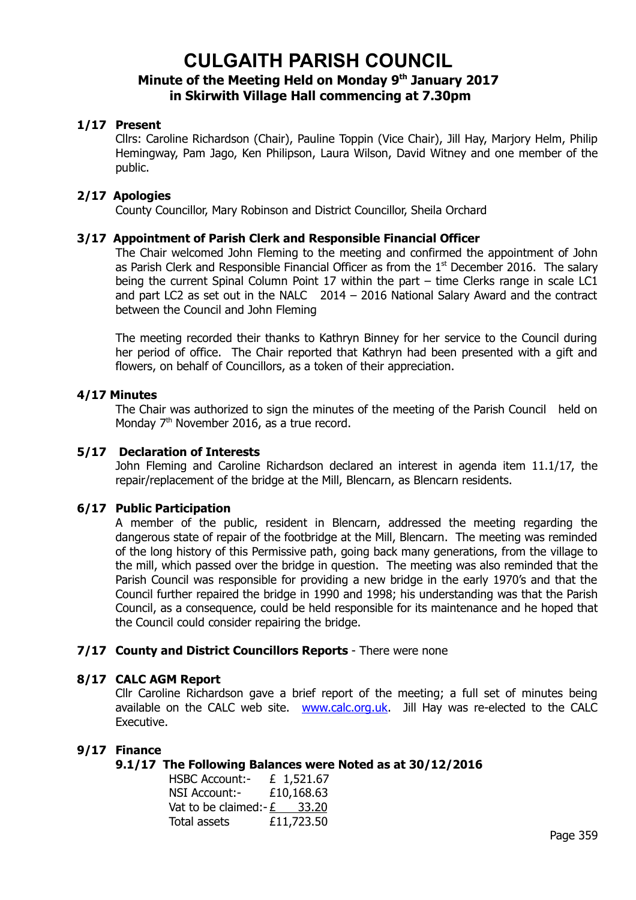# **CULGAITH PARISH COUNCIL Minute of the Meeting Held on Monday 9th January 2017 in Skirwith Village Hall commencing at 7.30pm**

# **1/17 Present**

Cllrs: Caroline Richardson (Chair), Pauline Toppin (Vice Chair), Jill Hay, Marjory Helm, Philip Hemingway, Pam Jago, Ken Philipson, Laura Wilson, David Witney and one member of the public.

# **2/17 Apologies**

County Councillor, Mary Robinson and District Councillor, Sheila Orchard

# **3/17 Appointment of Parish Clerk and Responsible Financial Officer**

The Chair welcomed John Fleming to the meeting and confirmed the appointment of John as Parish Clerk and Responsible Financial Officer as from the  $1<sup>st</sup>$  December 2016. The salary being the current Spinal Column Point 17 within the part – time Clerks range in scale LC1 and part LC2 as set out in the NALC 2014 – 2016 National Salary Award and the contract between the Council and John Fleming

The meeting recorded their thanks to Kathryn Binney for her service to the Council during her period of office. The Chair reported that Kathryn had been presented with a gift and flowers, on behalf of Councillors, as a token of their appreciation.

# **4/17 Minutes**

The Chair was authorized to sign the minutes of the meeting of the Parish Council held on Monday 7<sup>th</sup> November 2016, as a true record.

# **5/17 Declaration of Interests**

John Fleming and Caroline Richardson declared an interest in agenda item 11.1/17, the repair/replacement of the bridge at the Mill, Blencarn, as Blencarn residents.

# **6/17 Public Participation**

A member of the public, resident in Blencarn, addressed the meeting regarding the dangerous state of repair of the footbridge at the Mill, Blencarn. The meeting was reminded of the long history of this Permissive path, going back many generations, from the village to the mill, which passed over the bridge in question. The meeting was also reminded that the Parish Council was responsible for providing a new bridge in the early 1970's and that the Council further repaired the bridge in 1990 and 1998; his understanding was that the Parish Council, as a consequence, could be held responsible for its maintenance and he hoped that the Council could consider repairing the bridge.

# **7/17 County and District Councillors Reports** - There were none

# **8/17 CALC AGM Report**

Cllr Caroline Richardson gave a brief report of the meeting; a full set of minutes being available on the CALC web site. [www.calc.org.uk.](http://www.calc.org.uk/) Jill Hay was re-elected to the CALC Executive.

# **9/17 Finance**

# **9.1/17 The Following Balances were Noted as at 30/12/2016**

| <b>HSBC Account:-</b>           | £ 1,521.67 |
|---------------------------------|------------|
| NSI Account:-                   | £10,168.63 |
| Vat to be claimed:- $E = 33.20$ |            |
| Total assets                    | £11,723.50 |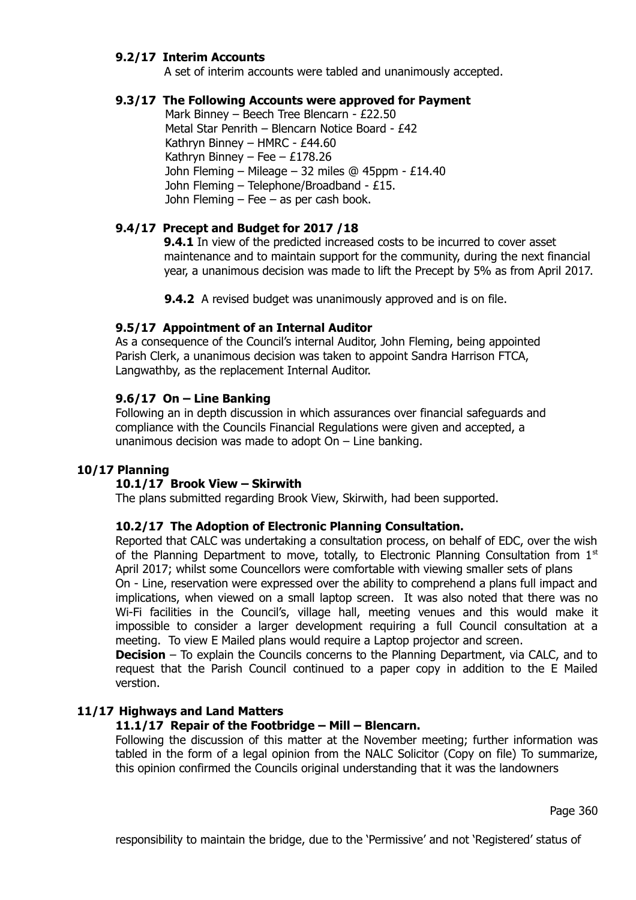# **9.2/17 Interim Accounts**

A set of interim accounts were tabled and unanimously accepted.

# **9.3/17 The Following Accounts were approved for Payment**

 Mark Binney – Beech Tree Blencarn - £22.50 Metal Star Penrith – Blencarn Notice Board - £42 Kathryn Binney – HMRC - £44.60 Kathryn Binney – Fee –  $£178.26$  John Fleming – Mileage – 32 miles @ 45ppm - £14.40 John Fleming – Telephone/Broadband - £15. John Fleming – Fee – as per cash book.

# **9.4/17 Precept and Budget for 2017 /18**

**9.4.1** In view of the predicted increased costs to be incurred to cover asset maintenance and to maintain support for the community, during the next financial year, a unanimous decision was made to lift the Precept by 5% as from April 2017.

**9.4.2** A revised budget was unanimously approved and is on file.

# **9.5/17 Appointment of an Internal Auditor**

As a consequence of the Council's internal Auditor, John Fleming, being appointed Parish Clerk, a unanimous decision was taken to appoint Sandra Harrison FTCA, Langwathby, as the replacement Internal Auditor.

# **9.6/17 On – Line Banking**

Following an in depth discussion in which assurances over financial safeguards and compliance with the Councils Financial Regulations were given and accepted, a unanimous decision was made to adopt  $On$  – Line banking.

# **10/17 Planning**

# **10.1/17 Brook View – Skirwith**

The plans submitted regarding Brook View, Skirwith, had been supported.

#### **10.2/17 The Adoption of Electronic Planning Consultation.**

Reported that CALC was undertaking a consultation process, on behalf of EDC, over the wish of the Planning Department to move, totally, to Electronic Planning Consultation from  $1<sup>st</sup>$ April 2017; whilst some Councellors were comfortable with viewing smaller sets of plans On - Line, reservation were expressed over the ability to comprehend a plans full impact and

implications, when viewed on a small laptop screen. It was also noted that there was no Wi-Fi facilities in the Council's, village hall, meeting venues and this would make it impossible to consider a larger development requiring a full Council consultation at a meeting. To view E Mailed plans would require a Laptop projector and screen.

**Decision** – To explain the Councils concerns to the Planning Department, via CALC, and to request that the Parish Council continued to a paper copy in addition to the E Mailed verstion.

# **11/17 Highways and Land Matters**

# **11.1/17 Repair of the Footbridge – Mill – Blencarn.**

Following the discussion of this matter at the November meeting; further information was tabled in the form of a legal opinion from the NALC Solicitor (Copy on file) To summarize, this opinion confirmed the Councils original understanding that it was the landowners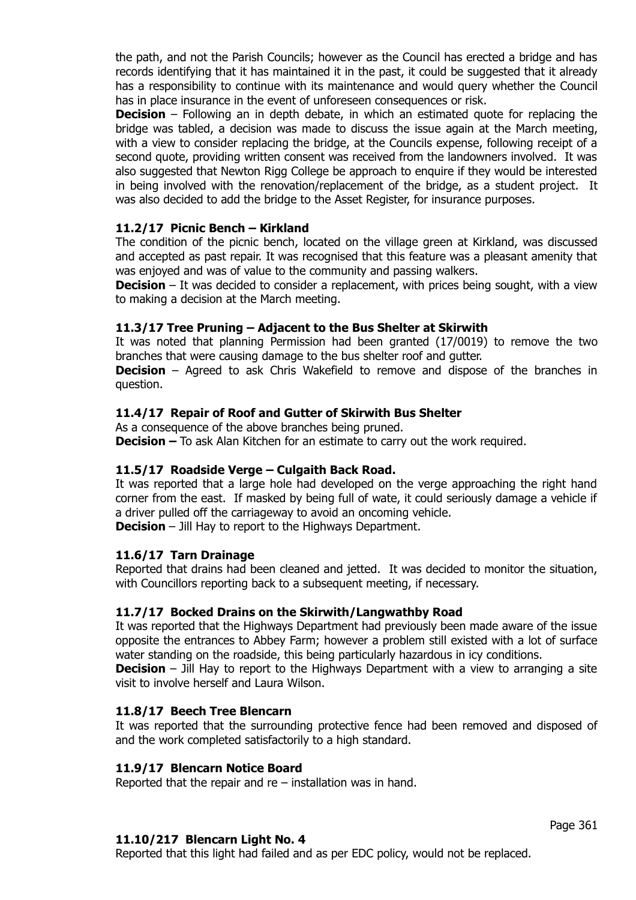the path, and not the Parish Councils; however as the Council has erected a bridge and has records identifying that it has maintained it in the past, it could be suggested that it already has a responsibility to continue with its maintenance and would query whether the Council has in place insurance in the event of unforeseen consequences or risk.

**Decision** – Following an in depth debate, in which an estimated quote for replacing the bridge was tabled, a decision was made to discuss the issue again at the March meeting, with a view to consider replacing the bridge, at the Councils expense, following receipt of a second quote, providing written consent was received from the landowners involved. It was also suggested that Newton Rigg College be approach to enquire if they would be interested in being involved with the renovation/replacement of the bridge, as a student project. It was also decided to add the bridge to the Asset Register, for insurance purposes.

# **11.2/17 Picnic Bench – Kirkland**

The condition of the picnic bench, located on the village green at Kirkland, was discussed and accepted as past repair. It was recognised that this feature was a pleasant amenity that was enjoyed and was of value to the community and passing walkers.

**Decision** – It was decided to consider a replacement, with prices being sought, with a view to making a decision at the March meeting.

### **11.3/17 Tree Pruning – Adjacent to the Bus Shelter at Skirwith**

It was noted that planning Permission had been granted (17/0019) to remove the two branches that were causing damage to the bus shelter roof and gutter.

**Decision** – Agreed to ask Chris Wakefield to remove and dispose of the branches in question.

### **11.4/17 Repair of Roof and Gutter of Skirwith Bus Shelter**

As a consequence of the above branches being pruned.

**Decision –** To ask Alan Kitchen for an estimate to carry out the work required.

# **11.5/17 Roadside Verge – Culgaith Back Road.**

It was reported that a large hole had developed on the verge approaching the right hand corner from the east. If masked by being full of wate, it could seriously damage a vehicle if a driver pulled off the carriageway to avoid an oncoming vehicle.

**Decision** – Jill Hay to report to the Highways Department.

#### **11.6/17 Tarn Drainage**

Reported that drains had been cleaned and jetted. It was decided to monitor the situation, with Councillors reporting back to a subsequent meeting, if necessary.

#### **11.7/17 Bocked Drains on the Skirwith/Langwathby Road**

It was reported that the Highways Department had previously been made aware of the issue opposite the entrances to Abbey Farm; however a problem still existed with a lot of surface water standing on the roadside, this being particularly hazardous in icy conditions.

**Decision** – Jill Hay to report to the Highways Department with a view to arranging a site visit to involve herself and Laura Wilson.

#### **11.8/17 Beech Tree Blencarn**

It was reported that the surrounding protective fence had been removed and disposed of and the work completed satisfactorily to a high standard.

#### **11.9/17 Blencarn Notice Board**

Reported that the repair and re – installation was in hand.

### **11.10/217 Blencarn Light No. 4**

Reported that this light had failed and as per EDC policy, would not be replaced.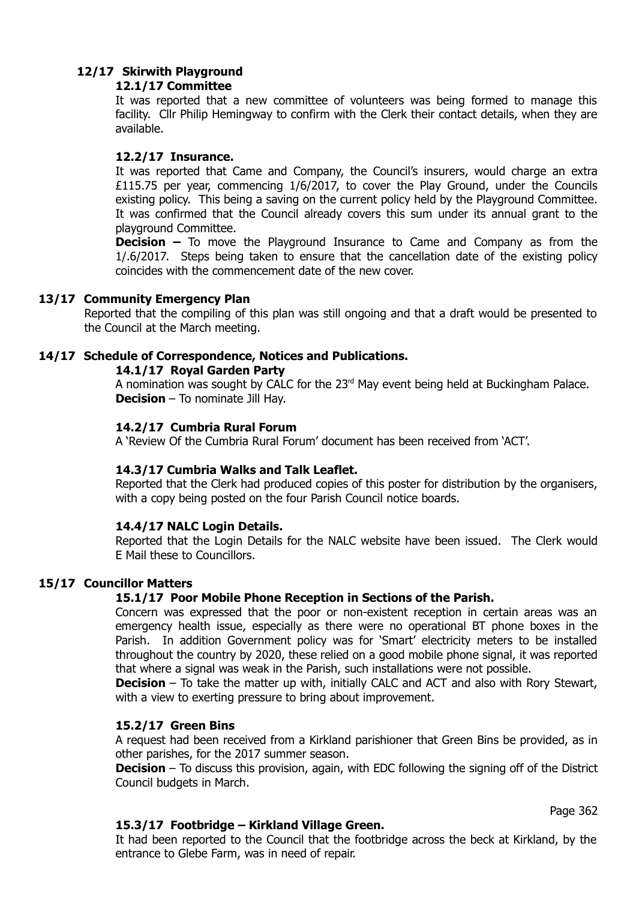# **12/17 Skirwith Playground**

# **12.1/17 Committee**

It was reported that a new committee of volunteers was being formed to manage this facility. Cllr Philip Hemingway to confirm with the Clerk their contact details, when they are available.

# **12.2/17 Insurance.**

It was reported that Came and Company, the Council's insurers, would charge an extra £115.75 per year, commencing 1/6/2017, to cover the Play Ground, under the Councils existing policy. This being a saving on the current policy held by the Playground Committee. It was confirmed that the Council already covers this sum under its annual grant to the playground Committee.

**Decision –** To move the Playground Insurance to Came and Company as from the 1/.6/2017. Steps being taken to ensure that the cancellation date of the existing policy coincides with the commencement date of the new cover.

# **13/17 Community Emergency Plan**

Reported that the compiling of this plan was still ongoing and that a draft would be presented to the Council at the March meeting.

# **14/17 Schedule of Correspondence, Notices and Publications.**

**14.1/17 Royal Garden Party**

A nomination was sought by CALC for the 23<sup>rd</sup> May event being held at Buckingham Palace. **Decision** – To nominate Jill Hay.

# **14.2/17 Cumbria Rural Forum**

A 'Review Of the Cumbria Rural Forum' document has been received from 'ACT'.

# **14.3/17 Cumbria Walks and Talk Leaflet.**

Reported that the Clerk had produced copies of this poster for distribution by the organisers, with a copy being posted on the four Parish Council notice boards.

# **14.4/17 NALC Login Details.**

Reported that the Login Details for the NALC website have been issued. The Clerk would E Mail these to Councillors.

# **15/17 Councillor Matters**

# **15.1/17 Poor Mobile Phone Reception in Sections of the Parish.**

Concern was expressed that the poor or non-existent reception in certain areas was an emergency health issue, especially as there were no operational BT phone boxes in the Parish. In addition Government policy was for 'Smart' electricity meters to be installed throughout the country by 2020, these relied on a good mobile phone signal, it was reported that where a signal was weak in the Parish, such installations were not possible.

**Decision** – To take the matter up with, initially CALC and ACT and also with Rory Stewart, with a view to exerting pressure to bring about improvement.

# **15.2/17 Green Bins**

A request had been received from a Kirkland parishioner that Green Bins be provided, as in other parishes, for the 2017 summer season.

**Decision** – To discuss this provision, again, with EDC following the signing off of the District Council budgets in March.

# **15.3/17 Footbridge – Kirkland Village Green.**

Page 362

It had been reported to the Council that the footbridge across the beck at Kirkland, by the entrance to Glebe Farm, was in need of repair.